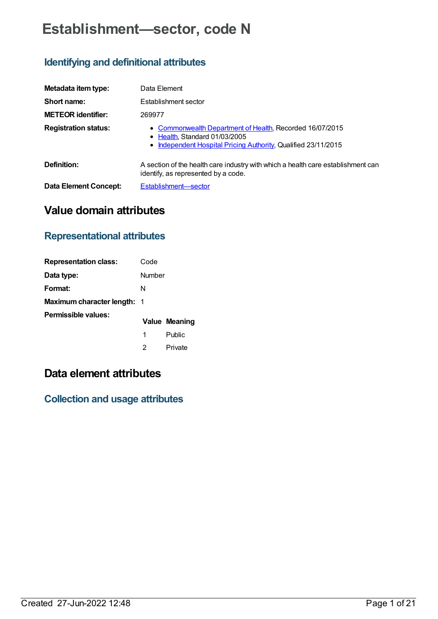# **Establishment—sector, code N**

# **Identifying and definitional attributes**

| Metadata item type:          | Data Element                                                                                                                                                |  |
|------------------------------|-------------------------------------------------------------------------------------------------------------------------------------------------------------|--|
| Short name:                  | Establishment sector                                                                                                                                        |  |
| <b>METEOR identifier:</b>    | 269977                                                                                                                                                      |  |
| <b>Registration status:</b>  | • Commonwealth Department of Health, Recorded 16/07/2015<br>• Health, Standard 01/03/2005<br>• Independent Hospital Pricing Authority, Qualified 23/11/2015 |  |
| Definition:                  | A section of the health care industry with which a health care establishment can<br>identify, as represented by a code.                                     |  |
| <b>Data Element Concept:</b> | Establishment-sector                                                                                                                                        |  |

# **Value domain attributes**

# **Representational attributes**

| <b>Representation class:</b> | Code   |               |
|------------------------------|--------|---------------|
| Data type:                   | Number |               |
| Format:                      | N      |               |
| Maximum character length: 1  |        |               |
| Permissible values:          |        | Value Meaning |
|                              | 1      | Public        |
|                              | 2      | Private       |

# **Data element attributes**

**Collection and usage attributes**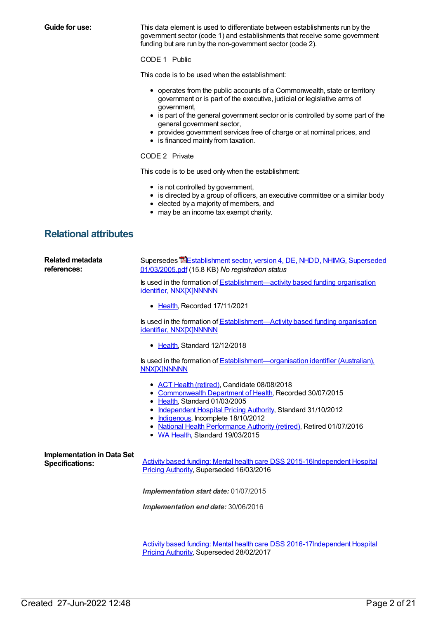**Guide for use:** This data element is used to differentiate between establishments run by the government sector (code 1) and establishments that receive some government funding but are run by the non-government sector (code 2).

# CODE 1 Public

This code is to be used when the establishment:

- operates from the public accounts of a Commonwealth, state or territory government or is part of the executive, judicial or legislative arms of government,
- is part of the general government sector or is controlled by some part of the general government sector,
- provides government services free of charge or at nominal prices, and
- is financed mainly from taxation.

# CODE 2 Private

This code is to be used only when the establishment:

- is not controlled by government,
- is directed by a group of officers, an executive committee or a similar body
- elected by a majority of members, and
- may be an income tax exempt charity.

# **Relational attributes**

| <b>Related metadata</b><br>references:                      | Supersedes <b>EE</b> stablishment sector, version 4, DE, NHDD, NHIMG, Superseded<br>01/03/2005.pdf (15.8 KB) No registration status                                                                                                                                                                                                                            |
|-------------------------------------------------------------|----------------------------------------------------------------------------------------------------------------------------------------------------------------------------------------------------------------------------------------------------------------------------------------------------------------------------------------------------------------|
|                                                             | Is used in the formation of Establishment—activity based funding organisation<br>identifier, NNX[X]NNNNN                                                                                                                                                                                                                                                       |
|                                                             | • Health, Recorded 17/11/2021                                                                                                                                                                                                                                                                                                                                  |
|                                                             | Is used in the formation of Establishment—Activity based funding organisation<br>identifier, NNX[X]NNNNN                                                                                                                                                                                                                                                       |
|                                                             | • Health, Standard 12/12/2018                                                                                                                                                                                                                                                                                                                                  |
|                                                             | Is used in the formation of Establishment—organisation identifier (Australian),<br><b>NNX[X]NNNNN</b>                                                                                                                                                                                                                                                          |
|                                                             | • ACT Health (retired), Candidate 08/08/2018<br>• Commonwealth Department of Health, Recorded 30/07/2015<br>• Health, Standard 01/03/2005<br>• Independent Hospital Pricing Authority, Standard 31/10/2012<br>• Indigenous, Incomplete 18/10/2012<br>• National Health Performance Authority (retired), Retired 01/07/2016<br>• WA Health, Standard 19/03/2015 |
| <b>Implementation in Data Set</b><br><b>Specifications:</b> | Activity based funding: Mental health care DSS 2015-16Independent Hospital<br>Pricing Authority, Superseded 16/03/2016                                                                                                                                                                                                                                         |
|                                                             | Implementation start date: 01/07/2015                                                                                                                                                                                                                                                                                                                          |
|                                                             | Implementation end date: 30/06/2016                                                                                                                                                                                                                                                                                                                            |
|                                                             |                                                                                                                                                                                                                                                                                                                                                                |
|                                                             | Activity based funding: Mental health care DSS 2016-17 Independent Hospital                                                                                                                                                                                                                                                                                    |

Pricing Authority, Superseded 28/02/2017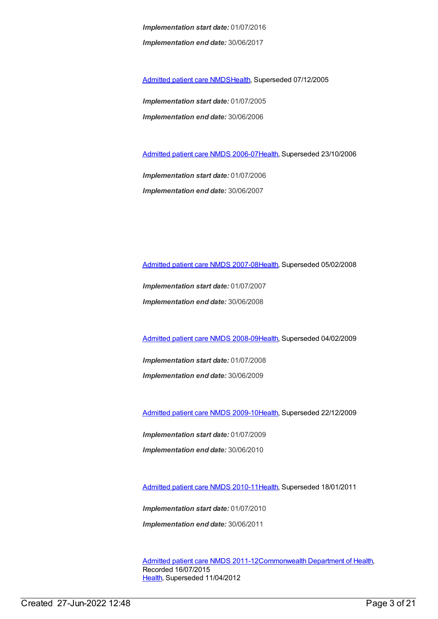*Implementation start date:* 01/07/2016 *Implementation end date:* 30/06/2017

[Admitted](https://meteor.aihw.gov.au/content/273050) patient care NMDS[Health](https://meteor.aihw.gov.au/RegistrationAuthority/12), Superseded 07/12/2005

*Implementation start date:* 01/07/2005 *Implementation end date:* 30/06/2006

[Admitted](https://meteor.aihw.gov.au/content/334023) patient care NMDS 2006-07[Health](https://meteor.aihw.gov.au/RegistrationAuthority/12), Superseded 23/10/2006

*Implementation start date:* 01/07/2006 *Implementation end date:* 30/06/2007

[Admitted](https://meteor.aihw.gov.au/content/339089) patient care NMDS 2007-08[Health](https://meteor.aihw.gov.au/RegistrationAuthority/12), Superseded 05/02/2008

*Implementation start date:* 01/07/2007 *Implementation end date:* 30/06/2008

[Admitted](https://meteor.aihw.gov.au/content/361679) patient care NMDS 2008-09[Health](https://meteor.aihw.gov.au/RegistrationAuthority/12), Superseded 04/02/2009

*Implementation start date:* 01/07/2008 *Implementation end date:* 30/06/2009

[Admitted](https://meteor.aihw.gov.au/content/374205) patient care NMDS 2009-10[Health](https://meteor.aihw.gov.au/RegistrationAuthority/12), Superseded 22/12/2009

*Implementation start date:* 01/07/2009

*Implementation end date:* 30/06/2010

[Admitted](https://meteor.aihw.gov.au/content/386797) patient care NMDS 2010-11[Health](https://meteor.aihw.gov.au/RegistrationAuthority/12), Superseded 18/01/2011

*Implementation start date:* 01/07/2010 *Implementation end date:* 30/06/2011

[Admitted](https://meteor.aihw.gov.au/content/426861) patient care NMDS 2011-12[Commonwealth](https://meteor.aihw.gov.au/RegistrationAuthority/10) Department of Health, Recorded 16/07/2015 [Health](https://meteor.aihw.gov.au/RegistrationAuthority/12), Superseded 11/04/2012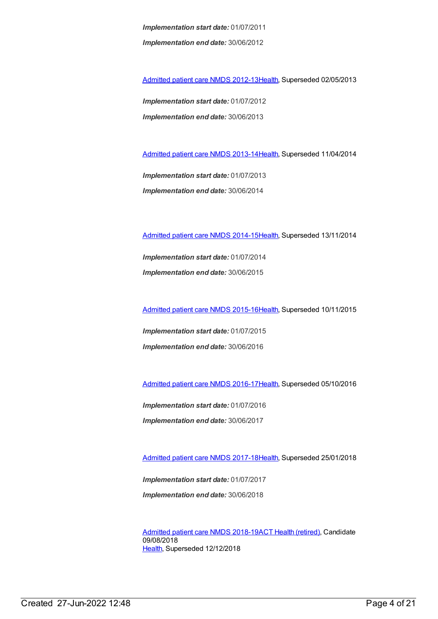*Implementation start date:* 01/07/2011 *Implementation end date:* 30/06/2012

[Admitted](https://meteor.aihw.gov.au/content/466132) patient care NMDS 2012-13[Health](https://meteor.aihw.gov.au/RegistrationAuthority/12), Superseded 02/05/2013

*Implementation start date:* 01/07/2012 *Implementation end date:* 30/06/2013

[Admitted](https://meteor.aihw.gov.au/content/491555) patient care NMDS 2013-14[Health](https://meteor.aihw.gov.au/RegistrationAuthority/12), Superseded 11/04/2014

*Implementation start date:* 01/07/2013 *Implementation end date:* 30/06/2014

[Admitted](https://meteor.aihw.gov.au/content/535047) patient care NMDS 2014-15[Health](https://meteor.aihw.gov.au/RegistrationAuthority/12), Superseded 13/11/2014

*Implementation start date:* 01/07/2014 *Implementation end date:* 30/06/2015

[Admitted](https://meteor.aihw.gov.au/content/588909) patient care NMDS 2015-16[Health](https://meteor.aihw.gov.au/RegistrationAuthority/12), Superseded 10/11/2015

*Implementation start date:* 01/07/2015 *Implementation end date:* 30/06/2016

[Admitted](https://meteor.aihw.gov.au/content/612171) patient care NMDS 2016-17[Health](https://meteor.aihw.gov.au/RegistrationAuthority/12), Superseded 05/10/2016

*Implementation start date:* 01/07/2016 *Implementation end date:* 30/06/2017

[Admitted](https://meteor.aihw.gov.au/content/641349) patient care NMDS 2017-18[Health](https://meteor.aihw.gov.au/RegistrationAuthority/12), Superseded 25/01/2018

*Implementation start date:* 01/07/2017 *Implementation end date:* 30/06/2018

[Admitted](https://meteor.aihw.gov.au/content/676382) patient care NMDS 2018-19ACT Health [\(retired\)](https://meteor.aihw.gov.au/RegistrationAuthority/9), Candidate 09/08/2018 [Health](https://meteor.aihw.gov.au/RegistrationAuthority/12), Superseded 12/12/2018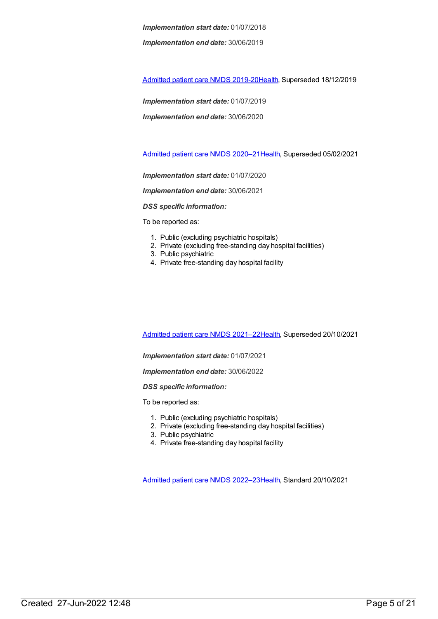*Implementation end date:* 30/06/2019

[Admitted](https://meteor.aihw.gov.au/content/699728) patient care NMDS 2019-20[Health](https://meteor.aihw.gov.au/RegistrationAuthority/12), Superseded 18/12/2019

*Implementation start date:* 01/07/2019

*Implementation end date:* 30/06/2020

[Admitted](https://meteor.aihw.gov.au/content/713850) patient care NMDS 2020–2[1Health](https://meteor.aihw.gov.au/RegistrationAuthority/12), Superseded 05/02/2021

*Implementation start date:* 01/07/2020

*Implementation end date:* 30/06/2021

*DSS specific information:*

To be reported as:

- 1. Public (excluding psychiatric hospitals)
- 2. Private (excluding free-standing day hospital facilities)
- 3. Public psychiatric
- 4. Private free-standing day hospital facility

[Admitted](https://meteor.aihw.gov.au/content/728439) patient care NMDS 2021–2[2Health](https://meteor.aihw.gov.au/RegistrationAuthority/12), Superseded 20/10/2021

*Implementation start date:* 01/07/2021

*Implementation end date:* 30/06/2022

*DSS specific information:*

To be reported as:

- 1. Public (excluding psychiatric hospitals)
- 2. Private (excluding free-standing day hospital facilities)
- 3. Public psychiatric
- 4. Private free-standing day hospital facility

[Admitted](https://meteor.aihw.gov.au/content/742173) patient care NMDS 2022–2[3Health](https://meteor.aihw.gov.au/RegistrationAuthority/12), Standard 20/10/2021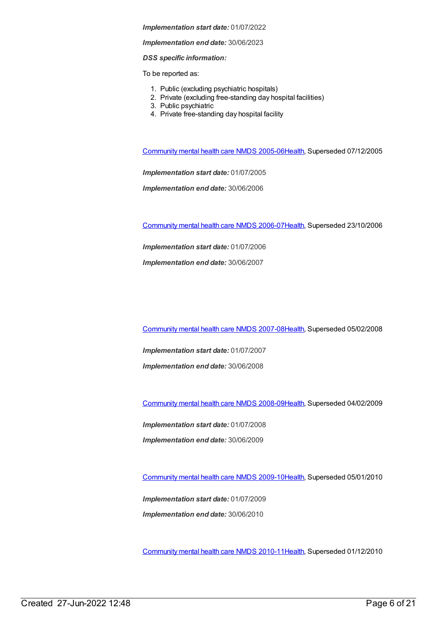#### *Implementation end date:* 30/06/2023

## *DSS specific information:*

To be reported as:

- 1. Public (excluding psychiatric hospitals)
- 2. Private (excluding free-standing day hospital facilities)
- 3. Public psychiatric
- 4. Private free-standing day hospital facility

[Community](https://meteor.aihw.gov.au/content/285489) mental health care NMDS 2005-0[6Health](https://meteor.aihw.gov.au/RegistrationAuthority/12), Superseded 07/12/2005

*Implementation start date:* 01/07/2005

*Implementation end date:* 30/06/2006

[Community](https://meteor.aihw.gov.au/content/334069) mental health care NMDS 2006-0[7Health](https://meteor.aihw.gov.au/RegistrationAuthority/12), Superseded 23/10/2006

*Implementation start date:* 01/07/2006

*Implementation end date:* 30/06/2007

[Community](https://meteor.aihw.gov.au/content/345116) mental health care NMDS 2007-0[8Health](https://meteor.aihw.gov.au/RegistrationAuthority/12), Superseded 05/02/2008

*Implementation start date:* 01/07/2007 *Implementation end date:* 30/06/2008

[Community](https://meteor.aihw.gov.au/content/362308) mental health care NMDS 2008-0[9Health](https://meteor.aihw.gov.au/RegistrationAuthority/12), Superseded 04/02/2009

*Implementation start date:* 01/07/2008 *Implementation end date:* 30/06/2009

[Community](https://meteor.aihw.gov.au/content/374216) mental health care NMDS 2009-1[0Health](https://meteor.aihw.gov.au/RegistrationAuthority/12), Superseded 05/01/2010

*Implementation start date:* 01/07/2009 *Implementation end date:* 30/06/2010

[Community](https://meteor.aihw.gov.au/content/386803) mental health care NMDS 2010-1[1Health](https://meteor.aihw.gov.au/RegistrationAuthority/12), Superseded 01/12/2010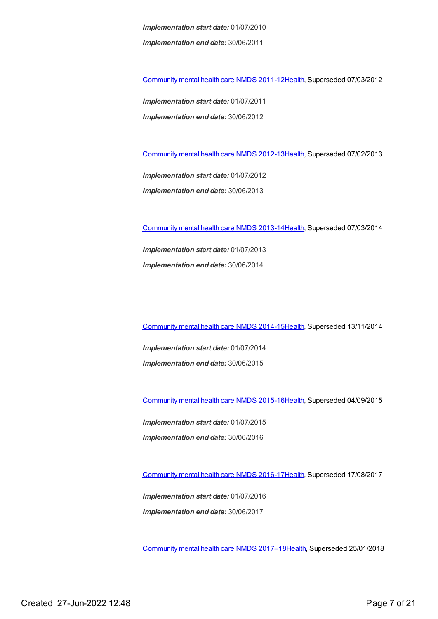*Implementation start date:* 01/07/2010 *Implementation end date:* 30/06/2011

[Community](https://meteor.aihw.gov.au/content/424727) mental health care NMDS 2011-1[2Health](https://meteor.aihw.gov.au/RegistrationAuthority/12), Superseded 07/03/2012

*Implementation start date:* 01/07/2011 *Implementation end date:* 30/06/2012

[Community](https://meteor.aihw.gov.au/content/468200) mental health care NMDS 2012-1[3Health](https://meteor.aihw.gov.au/RegistrationAuthority/12), Superseded 07/02/2013

*Implementation start date:* 01/07/2012 *Implementation end date:* 30/06/2013

[Community](https://meteor.aihw.gov.au/content/493658) mental health care NMDS 2013-1[4Health](https://meteor.aihw.gov.au/RegistrationAuthority/12), Superseded 07/03/2014

*Implementation start date:* 01/07/2013 *Implementation end date:* 30/06/2014

[Community](https://meteor.aihw.gov.au/content/549878) mental health care NMDS 2014-1[5Health](https://meteor.aihw.gov.au/RegistrationAuthority/12), Superseded 13/11/2014

*Implementation start date:* 01/07/2014 *Implementation end date:* 30/06/2015

[Community](https://meteor.aihw.gov.au/content/565694) mental health care NMDS 2015-1[6Health](https://meteor.aihw.gov.au/RegistrationAuthority/12), Superseded 04/09/2015

*Implementation start date:* 01/07/2015 *Implementation end date:* 30/06/2016

[Community](https://meteor.aihw.gov.au/content/608534) mental health care NMDS 2016-1[7Health](https://meteor.aihw.gov.au/RegistrationAuthority/12), Superseded 17/08/2017

*Implementation start date:* 01/07/2016 *Implementation end date:* 30/06/2017

[Community](https://meteor.aihw.gov.au/content/645692) mental health care NMDS 2017–1[8Health](https://meteor.aihw.gov.au/RegistrationAuthority/12), Superseded 25/01/2018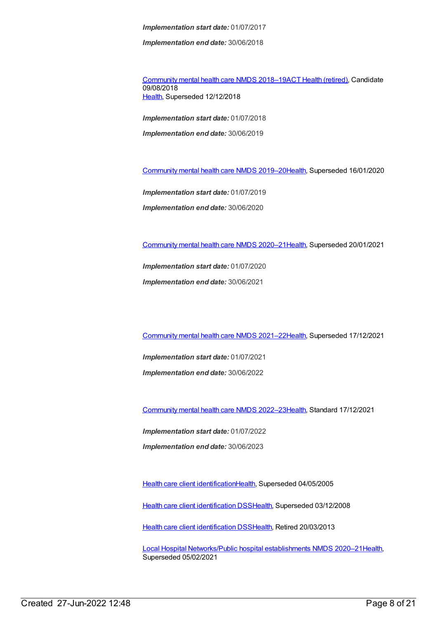*Implementation end date:* 30/06/2018

[Community](https://meteor.aihw.gov.au/content/677802) mental health care NMDS 2018–19ACT Health [\(retired\)](https://meteor.aihw.gov.au/RegistrationAuthority/9), Candidate 09/08/2018 [Health](https://meteor.aihw.gov.au/RegistrationAuthority/12), Superseded 12/12/2018

*Implementation start date:* 01/07/2018 *Implementation end date:* 30/06/2019

[Community](https://meteor.aihw.gov.au/content/699975) mental health care NMDS 2019–2[0Health](https://meteor.aihw.gov.au/RegistrationAuthority/12), Superseded 16/01/2020

*Implementation start date:* 01/07/2019

*Implementation end date:* 30/06/2020

[Community](https://meteor.aihw.gov.au/content/722221) mental health care NMDS 2020–2[1Health](https://meteor.aihw.gov.au/RegistrationAuthority/12), Superseded 20/01/2021

*Implementation start date:* 01/07/2020 *Implementation end date:* 30/06/2021

[Community](https://meteor.aihw.gov.au/content/727348) mental health care NMDS 2021–2[2Health](https://meteor.aihw.gov.au/RegistrationAuthority/12), Superseded 17/12/2021

*Implementation start date:* 01/07/2021 *Implementation end date:* 30/06/2022

[Community](https://meteor.aihw.gov.au/content/742040) mental health care NMDS 2022–2[3Health](https://meteor.aihw.gov.au/RegistrationAuthority/12), Standard 17/12/2021

*Implementation start date:* 01/07/2022 *Implementation end date:* 30/06/2023

Health care client [identification](https://meteor.aihw.gov.au/content/273055)[Health](https://meteor.aihw.gov.au/RegistrationAuthority/12), Superseded 04/05/2005

Health care client [identification](https://meteor.aihw.gov.au/content/288765) DSS[Health,](https://meteor.aihw.gov.au/RegistrationAuthority/12) Superseded 03/12/2008

Health care client [identification](https://meteor.aihw.gov.au/content/374201) DSS[Health,](https://meteor.aihw.gov.au/RegistrationAuthority/12) Retired 20/03/2013

Local Hospital [Networks/Public](https://meteor.aihw.gov.au/content/713848) hospital establishments NMDS 2020–21[Health](https://meteor.aihw.gov.au/RegistrationAuthority/12), Superseded 05/02/2021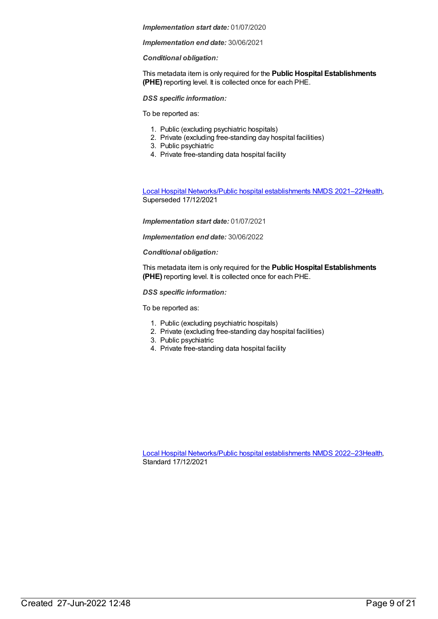### *Implementation end date:* 30/06/2021

# *Conditional obligation:*

This metadata item is only required for the **Public Hospital Establishments (PHE)** reporting level. It is collected once for each PHE.

# *DSS specific information:*

To be reported as:

- 1. Public (excluding psychiatric hospitals)
- 2. Private (excluding free-standing day hospital facilities)
- 3. Public psychiatric
- 4. Private free-standing data hospital facility

Local Hospital [Networks/Public](https://meteor.aihw.gov.au/content/727356) hospital establishments NMDS 2021–22[Health](https://meteor.aihw.gov.au/RegistrationAuthority/12), Superseded 17/12/2021

# *Implementation start date:* 01/07/2021

*Implementation end date:* 30/06/2022

# *Conditional obligation:*

This metadata item is only required for the **Public Hospital Establishments (PHE)** reporting level. It is collected once for each PHE.

# *DSS specific information:*

To be reported as:

- 1. Public (excluding psychiatric hospitals)
- 2. Private (excluding free-standing day hospital facilities)
- 3. Public psychiatric
- 4. Private free-standing data hospital facility

Local Hospital [Networks/Public](https://meteor.aihw.gov.au/content/742044) hospital establishments NMDS 2022–23[Health](https://meteor.aihw.gov.au/RegistrationAuthority/12), Standard 17/12/2021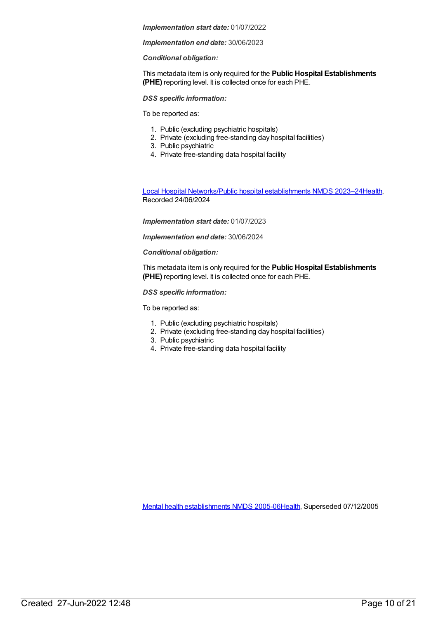### *Implementation end date:* 30/06/2023

# *Conditional obligation:*

This metadata item is only required for the **Public Hospital Establishments (PHE)** reporting level. It is collected once for each PHE.

## *DSS specific information:*

To be reported as:

- 1. Public (excluding psychiatric hospitals)
- 2. Private (excluding free-standing day hospital facilities)
- 3. Public psychiatric
- 4. Private free-standing data hospital facility

Local Hospital [Networks/Public](https://meteor.aihw.gov.au/content/756101) hospital establishments NMDS 2023–24[Health](https://meteor.aihw.gov.au/RegistrationAuthority/12), Recorded 24/06/2024

### *Implementation start date:* 01/07/2023

*Implementation end date:* 30/06/2024

### *Conditional obligation:*

This metadata item is only required for the **Public Hospital Establishments (PHE)** reporting level. It is collected once for each PHE.

### *DSS specific information:*

To be reported as:

- 1. Public (excluding psychiatric hospitals)
- 2. Private (excluding free-standing day hospital facilities)
- 3. Public psychiatric
- 4. Private free-standing data hospital facility

Mental health [establishments](https://meteor.aihw.gov.au/content/298027) NMDS 2005-06[Health](https://meteor.aihw.gov.au/RegistrationAuthority/12), Superseded 07/12/2005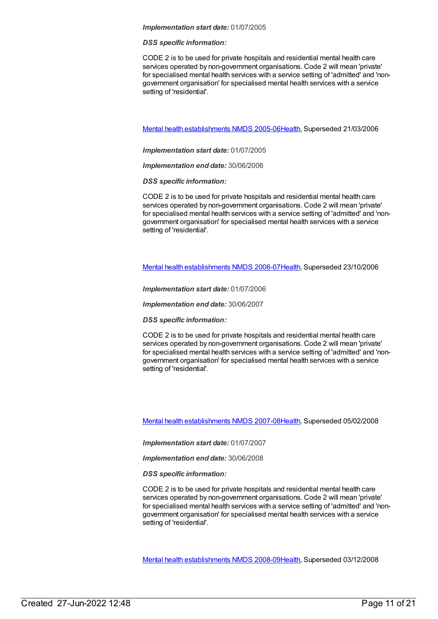### *DSS specific information:*

CODE 2 is to be used for private hospitals and residential mental health care services operated by non-government organisations. Code 2 will mean 'private' for specialised mental health services with a service setting of 'admitted' and 'nongovernment organisation' for specialised mental health services with a service setting of 'residential'.

Mental health [establishments](https://meteor.aihw.gov.au/content/311875) NMDS 2005-06[Health](https://meteor.aihw.gov.au/RegistrationAuthority/12), Superseded 21/03/2006

*Implementation start date:* 01/07/2005

*Implementation end date:* 30/06/2006

*DSS specific information:*

CODE 2 is to be used for private hospitals and residential mental health care services operated by non-government organisations. Code 2 will mean 'private' for specialised mental health services with a service setting of 'admitted' and 'nongovernment organisation' for specialised mental health services with a service setting of 'residential'.

Mental health [establishments](https://meteor.aihw.gov.au/content/334283) NMDS 2006-07[Health](https://meteor.aihw.gov.au/RegistrationAuthority/12), Superseded 23/10/2006

*Implementation start date:* 01/07/2006

*Implementation end date:* 30/06/2007

*DSS specific information:*

CODE 2 is to be used for private hospitals and residential mental health care services operated by non-government organisations. Code 2 will mean 'private' for specialised mental health services with a service setting of 'admitted' and 'nongovernment organisation' for specialised mental health services with a service setting of 'residential'.

Mental health [establishments](https://meteor.aihw.gov.au/content/345134) NMDS 2007-08[Health](https://meteor.aihw.gov.au/RegistrationAuthority/12), Superseded 05/02/2008

*Implementation start date:* 01/07/2007

*Implementation end date:* 30/06/2008

*DSS specific information:*

CODE 2 is to be used for private hospitals and residential mental health care services operated by non-government organisations. Code 2 will mean 'private' for specialised mental health services with a service setting of 'admitted' and 'nongovernment organisation' for specialised mental health services with a service setting of 'residential'.

Mental health [establishments](https://meteor.aihw.gov.au/content/362299) NMDS 2008-09[Health](https://meteor.aihw.gov.au/RegistrationAuthority/12), Superseded 03/12/2008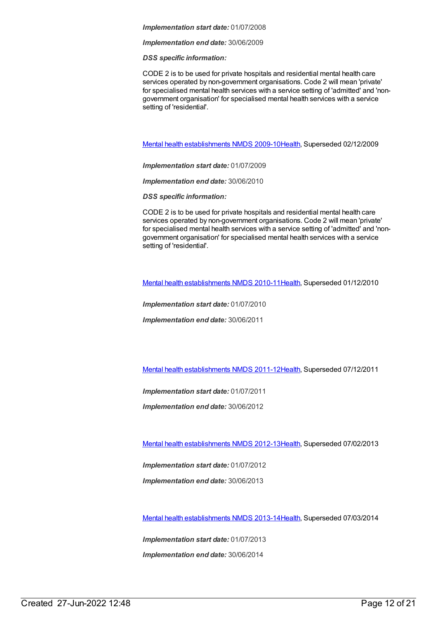*Implementation end date:* 30/06/2009

*DSS specific information:*

CODE 2 is to be used for private hospitals and residential mental health care services operated by non-government organisations. Code 2 will mean 'private' for specialised mental health services with a service setting of 'admitted' and 'nongovernment organisation' for specialised mental health services with a service setting of 'residential'.

Mental health [establishments](https://meteor.aihw.gov.au/content/374981) NMDS 2009-10[Health](https://meteor.aihw.gov.au/RegistrationAuthority/12), Superseded 02/12/2009

*Implementation start date:* 01/07/2009

*Implementation end date:* 30/06/2010

*DSS specific information:*

CODE 2 is to be used for private hospitals and residential mental health care services operated by non-government organisations. Code 2 will mean 'private' for specialised mental health services with a service setting of 'admitted' and 'nongovernment organisation' for specialised mental health services with a service setting of 'residential'.

Mental health [establishments](https://meteor.aihw.gov.au/content/378611) NMDS 2010-11[Health](https://meteor.aihw.gov.au/RegistrationAuthority/12), Superseded 01/12/2010

*Implementation start date:* 01/07/2010 *Implementation end date:* 30/06/2011

Mental health [establishments](https://meteor.aihw.gov.au/content/424725) NMDS 2011-12[Health](https://meteor.aihw.gov.au/RegistrationAuthority/12), Superseded 07/12/2011

*Implementation start date:* 01/07/2011

*Implementation end date:* 30/06/2012

Mental health [establishments](https://meteor.aihw.gov.au/content/468195) NMDS 2012-13[Health](https://meteor.aihw.gov.au/RegistrationAuthority/12), Superseded 07/02/2013

*Implementation start date:* 01/07/2012

*Implementation end date:* 30/06/2013

Mental health [establishments](https://meteor.aihw.gov.au/content/493652) NMDS 2013-14[Health](https://meteor.aihw.gov.au/RegistrationAuthority/12), Superseded 07/03/2014

*Implementation start date:* 01/07/2013 *Implementation end date:* 30/06/2014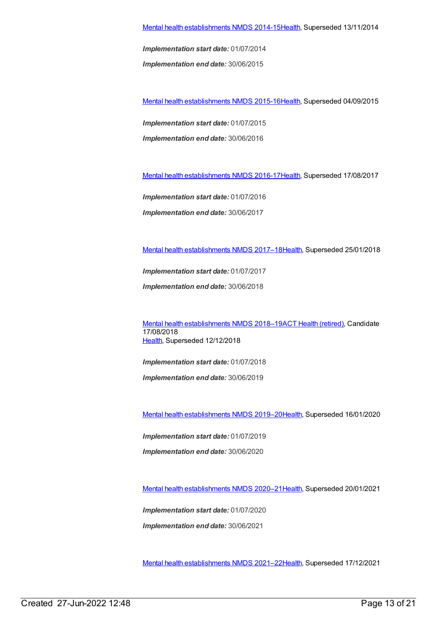*Implementation end date:* 30/06/2015

Mental health [establishments](https://meteor.aihw.gov.au/content/565661) NMDS 2015-16[Health](https://meteor.aihw.gov.au/RegistrationAuthority/12), Superseded 04/09/2015

*Implementation start date:* 01/07/2015

*Implementation end date:* 30/06/2016

Mental health [establishments](https://meteor.aihw.gov.au/content/605829) NMDS 2016-17[Health](https://meteor.aihw.gov.au/RegistrationAuthority/12), Superseded 17/08/2017

*Implementation start date:* 01/07/2016

*Implementation end date:* 30/06/2017

Mental health [establishments](https://meteor.aihw.gov.au/content/645723) NMDS 2017–1[8Health](https://meteor.aihw.gov.au/RegistrationAuthority/12), Superseded 25/01/2018

*Implementation start date:* 01/07/2017

*Implementation end date:* 30/06/2018

Mental health [establishments](https://meteor.aihw.gov.au/content/677892) NMDS 2018–19ACT Health [\(retired\)](https://meteor.aihw.gov.au/RegistrationAuthority/9), Candidate 17/08/2018 [Health](https://meteor.aihw.gov.au/RegistrationAuthority/12), Superseded 12/12/2018

*Implementation start date:* 01/07/2018

*Implementation end date:* 30/06/2019

Mental health [establishments](https://meteor.aihw.gov.au/content/707557) NMDS 2019–2[0Health](https://meteor.aihw.gov.au/RegistrationAuthority/12), Superseded 16/01/2020

*Implementation start date:* 01/07/2019

*Implementation end date:* 30/06/2020

Mental health [establishments](https://meteor.aihw.gov.au/content/722168) NMDS 2020–2[1Health](https://meteor.aihw.gov.au/RegistrationAuthority/12), Superseded 20/01/2021

*Implementation start date:* 01/07/2020 *Implementation end date:* 30/06/2021

Mental health [establishments](https://meteor.aihw.gov.au/content/727352) NMDS 2021–2[2Health](https://meteor.aihw.gov.au/RegistrationAuthority/12), Superseded 17/12/2021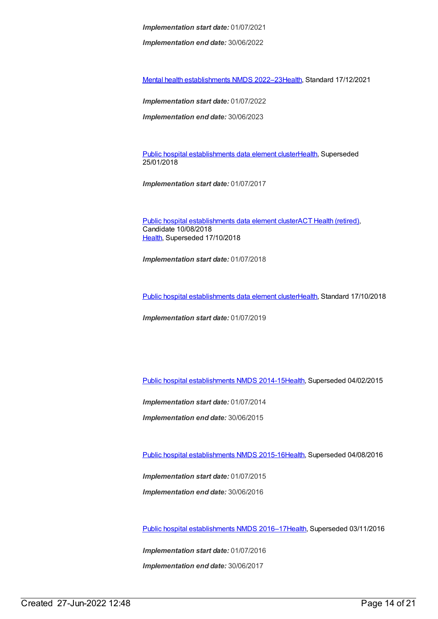*Implementation end date:* 30/06/2022

Mental health [establishments](https://meteor.aihw.gov.au/content/742046) NMDS 2022–2[3Health](https://meteor.aihw.gov.au/RegistrationAuthority/12), Standard 17/12/2021

*Implementation start date:* 01/07/2022

*Implementation end date:* 30/06/2023

Public hospital [establishments](https://meteor.aihw.gov.au/content/643172) data element cluste[rHealth](https://meteor.aihw.gov.au/RegistrationAuthority/12), Superseded 25/01/2018

*Implementation start date:* 01/07/2017

Public hospital [establishments](https://meteor.aihw.gov.au/content/679217) data element clusterACT Health [\(retired\)](https://meteor.aihw.gov.au/RegistrationAuthority/9), Candidate 10/08/2018 [Health](https://meteor.aihw.gov.au/RegistrationAuthority/12), Superseded 17/10/2018

*Implementation start date:* 01/07/2018

Public hospital [establishments](https://meteor.aihw.gov.au/content/706483) data element cluste[rHealth](https://meteor.aihw.gov.au/RegistrationAuthority/12), Standard 17/10/2018

*Implementation start date:* 01/07/2019

Public hospital [establishments](https://meteor.aihw.gov.au/content/540101) NMDS 2014-15[Health](https://meteor.aihw.gov.au/RegistrationAuthority/12), Superseded 04/02/2015

*Implementation start date:* 01/07/2014

*Implementation end date:* 30/06/2015

Public hospital [establishments](https://meteor.aihw.gov.au/content/600230) NMDS 2015-16[Health](https://meteor.aihw.gov.au/RegistrationAuthority/12), Superseded 04/08/2016

*Implementation start date:* 01/07/2015

*Implementation end date:* 30/06/2016

Public hospital [establishments](https://meteor.aihw.gov.au/content/615835) NMDS 2016–1[7Health](https://meteor.aihw.gov.au/RegistrationAuthority/12), Superseded 03/11/2016

*Implementation start date:* 01/07/2016 *Implementation end date:* 30/06/2017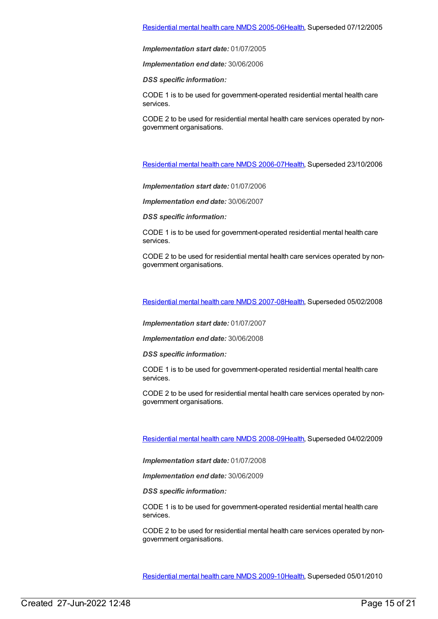*Implementation end date:* 30/06/2006

*DSS specific information:*

CODE 1 is to be used for government-operated residential mental health care services.

CODE 2 to be used for residential mental health care services operated by nongovernment organisations.

[Residential](https://meteor.aihw.gov.au/content/334067) mental health care NMDS 2006-0[7Health](https://meteor.aihw.gov.au/RegistrationAuthority/12), Superseded 23/10/2006

*Implementation start date:* 01/07/2006

*Implementation end date:* 30/06/2007

*DSS specific information:*

CODE 1 is to be used for government-operated residential mental health care services.

CODE 2 to be used for residential mental health care services operated by nongovernment organisations.

[Residential](https://meteor.aihw.gov.au/content/345122) mental health care NMDS 2007-0[8Health](https://meteor.aihw.gov.au/RegistrationAuthority/12), Superseded 05/02/2008

*Implementation start date:* 01/07/2007

*Implementation end date:* 30/06/2008

*DSS specific information:*

CODE 1 is to be used for government-operated residential mental health care services.

CODE 2 to be used for residential mental health care services operated by nongovernment organisations.

[Residential](https://meteor.aihw.gov.au/content/362316) mental health care NMDS 2008-0[9Health](https://meteor.aihw.gov.au/RegistrationAuthority/12), Superseded 04/02/2009

*Implementation start date:* 01/07/2008

*Implementation end date:* 30/06/2009

*DSS specific information:*

CODE 1 is to be used for government-operated residential mental health care services.

CODE 2 to be used for residential mental health care services operated by nongovernment organisations.

[Residential](https://meteor.aihw.gov.au/content/374223) mental health care NMDS 2009-1[0Health](https://meteor.aihw.gov.au/RegistrationAuthority/12), Superseded 05/01/2010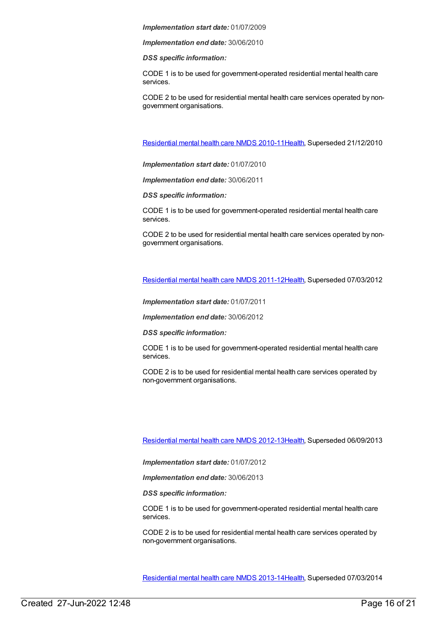*Implementation end date:* 30/06/2010

*DSS specific information:*

CODE 1 is to be used for government-operated residential mental health care services.

CODE 2 to be used for residential mental health care services operated by nongovernment organisations.

[Residential](https://meteor.aihw.gov.au/content/386809) mental health care NMDS 2010-1[1Health](https://meteor.aihw.gov.au/RegistrationAuthority/12), Superseded 21/12/2010

*Implementation start date:* 01/07/2010

*Implementation end date:* 30/06/2011

*DSS specific information:*

CODE 1 is to be used for government-operated residential mental health care services.

CODE 2 to be used for residential mental health care services operated by nongovernment organisations.

[Residential](https://meteor.aihw.gov.au/content/426754) mental health care NMDS 2011-1[2Health](https://meteor.aihw.gov.au/RegistrationAuthority/12), Superseded 07/03/2012

*Implementation start date:* 01/07/2011

*Implementation end date:* 30/06/2012

*DSS specific information:*

CODE 1 is to be used for government-operated residential mental health care services.

CODE 2 is to be used for residential mental health care services operated by non-government organisations.

[Residential](https://meteor.aihw.gov.au/content/468206) mental health care NMDS 2012-1[3Health](https://meteor.aihw.gov.au/RegistrationAuthority/12), Superseded 06/09/2013

*Implementation start date:* 01/07/2012

*Implementation end date:* 30/06/2013

*DSS specific information:*

CODE 1 is to be used for government-operated residential mental health care services.

CODE 2 is to be used for residential mental health care services operated by non-government organisations.

[Residential](https://meteor.aihw.gov.au/content/539453) mental health care NMDS 2013-1[4Health](https://meteor.aihw.gov.au/RegistrationAuthority/12), Superseded 07/03/2014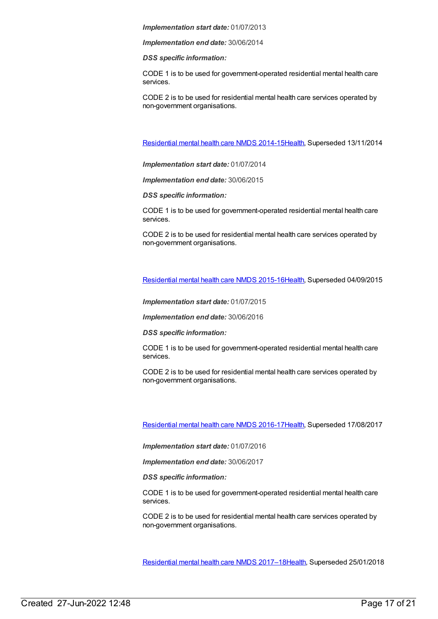*Implementation end date:* 30/06/2014

*DSS specific information:*

CODE 1 is to be used for government-operated residential mental health care services.

CODE 2 is to be used for residential mental health care services operated by non-government organisations.

[Residential](https://meteor.aihw.gov.au/content/525052) mental health care NMDS 2014-1[5Health](https://meteor.aihw.gov.au/RegistrationAuthority/12), Superseded 13/11/2014

*Implementation start date:* 01/07/2014

*Implementation end date:* 30/06/2015

*DSS specific information:*

CODE 1 is to be used for government-operated residential mental health care services.

CODE 2 is to be used for residential mental health care services operated by non-government organisations.

[Residential](https://meteor.aihw.gov.au/content/565678) mental health care NMDS 2015-1[6Health](https://meteor.aihw.gov.au/RegistrationAuthority/12), Superseded 04/09/2015

*Implementation start date:* 01/07/2015

*Implementation end date:* 30/06/2016

*DSS specific information:*

CODE 1 is to be used for government-operated residential mental health care services.

CODE 2 is to be used for residential mental health care services operated by non-government organisations.

[Residential](https://meteor.aihw.gov.au/content/608539) mental health care NMDS 2016-1[7Health](https://meteor.aihw.gov.au/RegistrationAuthority/12), Superseded 17/08/2017

*Implementation start date:* 01/07/2016

*Implementation end date:* 30/06/2017

*DSS specific information:*

CODE 1 is to be used for government-operated residential mental health care services.

CODE 2 is to be used for residential mental health care services operated by non-government organisations.

[Residential](https://meteor.aihw.gov.au/content/645718) mental health care NMDS 2017–1[8Health](https://meteor.aihw.gov.au/RegistrationAuthority/12), Superseded 25/01/2018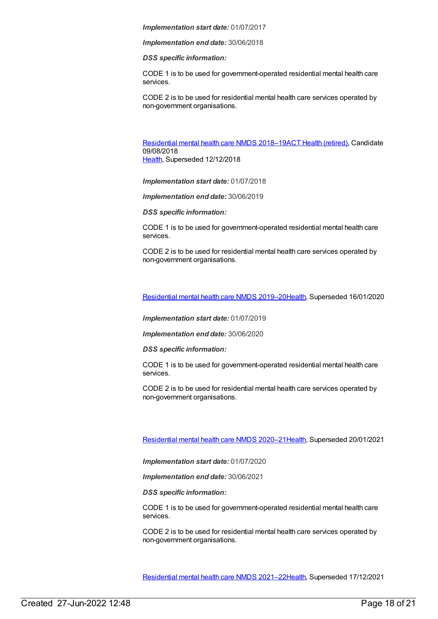*Implementation end date:* 30/06/2018

*DSS specific information:*

CODE 1 is to be used for government-operated residential mental health care services.

CODE 2 is to be used for residential mental health care services operated by non-government organisations.

[Residential](https://meteor.aihw.gov.au/content/685927) mental health care NMDS 2018-19ACT Health [\(retired\)](https://meteor.aihw.gov.au/RegistrationAuthority/9), Candidate 09/08/2018 [Health](https://meteor.aihw.gov.au/RegistrationAuthority/12), Superseded 12/12/2018

*Implementation start date:* 01/07/2018

*Implementation end date:* 30/06/2019

*DSS specific information:*

CODE 1 is to be used for government-operated residential mental health care services.

CODE 2 is to be used for residential mental health care services operated by non-government organisations.

[Residential](https://meteor.aihw.gov.au/content/707512) mental health care NMDS 2019–2[0Health](https://meteor.aihw.gov.au/RegistrationAuthority/12), Superseded 16/01/2020

*Implementation start date:* 01/07/2019

*Implementation end date:* 30/06/2020

*DSS specific information:*

CODE 1 is to be used for government-operated residential mental health care services.

CODE 2 is to be used for residential mental health care services operated by non-government organisations.

[Residential](https://meteor.aihw.gov.au/content/722224) mental health care NMDS 2020–2[1Health](https://meteor.aihw.gov.au/RegistrationAuthority/12), Superseded 20/01/2021

*Implementation start date:* 01/07/2020

*Implementation end date:* 30/06/2021

*DSS specific information:*

CODE 1 is to be used for government-operated residential mental health care services.

CODE 2 is to be used for residential mental health care services operated by non-government organisations.

[Residential](https://meteor.aihw.gov.au/content/727354) mental health care NMDS 2021–2[2Health](https://meteor.aihw.gov.au/RegistrationAuthority/12), Superseded 17/12/2021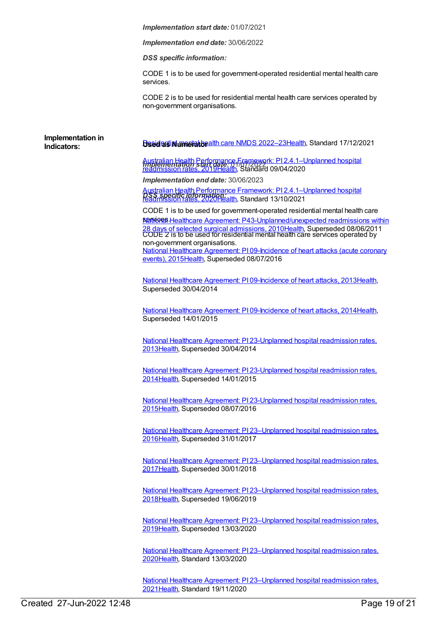*Implementation end date:* 30/06/2022

*DSS specific information:*

CODE 1 is to be used for government-operated residential mental health care services.

CODE 2 is to be used for residential mental health care services operated by non-government organisations.

**Indicators: Used as** *Used as**Unimerator and Departments* **2022–23 Health, Standard 17/12/2021** 

*Implementation start date:* 01/07/2022 Australian Health Performance Framework: PI [2.4.1–Unplanned](https://meteor.aihw.gov.au/content/715368) hospital readmission rates, 2019[Health,](https://meteor.aihw.gov.au/RegistrationAuthority/12) Standard 09/04/2020

*Implementation end date:* 30/06/2023

Australian Health Performance Framework: PI [2.4.1–Unplanned](https://meteor.aihw.gov.au/content/728347) hospital<br>**PSS እንደይወቁ መሆን የተያያ**የ የተያያዘው Standard 13/10/2021 readmission rates, 2020[Health,](https://meteor.aihw.gov.au/RegistrationAuthority/12) Standard 13/10/2021

CODE 1 is to be used for government-operated residential mental health care **RBIVORS Healthcare Agreement: [P43-Unplanned/unexpected](https://meteor.aihw.gov.au/content/395081) readmissions within** 28 days of selected surgical admissions, 201[0Health](https://meteor.aihw.gov.au/RegistrationAuthority/12), Superseded 08/06/2011<br>CODE 2 is to be used for residential mental health care services operated by non-government organisations. National Healthcare Agreement: PI [09-Incidence](https://meteor.aihw.gov.au/content/559050) of heart attacks (acute coronary events), 201[5Health,](https://meteor.aihw.gov.au/RegistrationAuthority/12) Superseded 08/07/2016

National Healthcare Agreement: PI [09-Incidence](https://meteor.aihw.gov.au/content/497512) of heart attacks, 201[3Health](https://meteor.aihw.gov.au/RegistrationAuthority/12), Superseded 30/04/2014

National Healthcare Agreement: PI [09-Incidence](https://meteor.aihw.gov.au/content/517669) of heart attacks, 201[4Health](https://meteor.aihw.gov.au/RegistrationAuthority/12), Superseded 14/01/2015

National Healthcare Agreement: PI [23-Unplanned](https://meteor.aihw.gov.au/content/497129) hospital readmission rates, 201[3Health](https://meteor.aihw.gov.au/RegistrationAuthority/12), Superseded 30/04/2014

National Healthcare Agreement: PI [23-Unplanned](https://meteor.aihw.gov.au/content/517634) hospital readmission rates, 201[4Health](https://meteor.aihw.gov.au/RegistrationAuthority/12), Superseded 14/01/2015

National Healthcare Agreement: PI [23-Unplanned](https://meteor.aihw.gov.au/content/559020) hospital readmission rates, 201[5Health](https://meteor.aihw.gov.au/RegistrationAuthority/12), Superseded 08/07/2016

National Healthcare Agreement: PI [23–Unplanned](https://meteor.aihw.gov.au/content/598732) hospital readmission rates, 201[6Health](https://meteor.aihw.gov.au/RegistrationAuthority/12), Superseded 31/01/2017

National Healthcare Agreement: PI [23–Unplanned](https://meteor.aihw.gov.au/content/630049) hospital readmission rates, 201[7Health](https://meteor.aihw.gov.au/RegistrationAuthority/12), Superseded 30/01/2018

National Healthcare Agreement: PI [23–Unplanned](https://meteor.aihw.gov.au/content/658485) hospital readmission rates, 201[8Health](https://meteor.aihw.gov.au/RegistrationAuthority/12), Superseded 19/06/2019

National Healthcare Agreement: PI [23–Unplanned](https://meteor.aihw.gov.au/content/698890) hospital readmission rates, 201[9Health](https://meteor.aihw.gov.au/RegistrationAuthority/12), Superseded 13/03/2020

National Healthcare Agreement: PI [23–Unplanned](https://meteor.aihw.gov.au/content/716786) hospital readmission rates, 202[0Health](https://meteor.aihw.gov.au/RegistrationAuthority/12), Standard 13/03/2020

National Healthcare Agreement: PI [23–Unplanned](https://meteor.aihw.gov.au/content/725779) hospital readmission rates, 202[1Health](https://meteor.aihw.gov.au/RegistrationAuthority/12), Standard 19/11/2020

**Implementation in**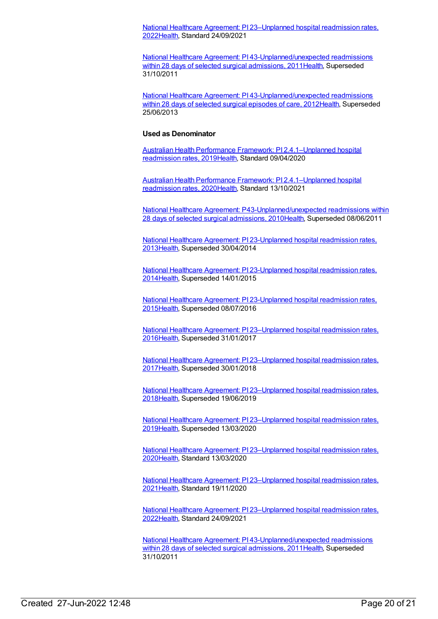National Healthcare Agreement: PI [23–Unplanned](https://meteor.aihw.gov.au/content/742756) hospital readmission rates, 202[2Health](https://meteor.aihw.gov.au/RegistrationAuthority/12), Standard 24/09/2021

National Healthcare Agreement: PI [43-Unplanned/unexpected](https://meteor.aihw.gov.au/content/421607) readmissions within 28 days of selected surgical admissions, 2011 Health, Superseded 31/10/2011

National Healthcare Agreement: PI [43-Unplanned/unexpected](https://meteor.aihw.gov.au/content/443711) readmissions within 28 days of selected surgical episodes of care, 201[2Health](https://meteor.aihw.gov.au/RegistrationAuthority/12), Superseded 25/06/2013

### **Used as Denominator**

Australian Health Performance Framework: PI [2.4.1–Unplanned](https://meteor.aihw.gov.au/content/715368) hospital readmission rates, 2019[Health,](https://meteor.aihw.gov.au/RegistrationAuthority/12) Standard 09/04/2020

Australian Health Performance Framework: PI [2.4.1–Unplanned](https://meteor.aihw.gov.au/content/728347) hospital readmission rates, 2020[Health,](https://meteor.aihw.gov.au/RegistrationAuthority/12) Standard 13/10/2021

National Healthcare Agreement: [P43-Unplanned/unexpected](https://meteor.aihw.gov.au/content/395081) readmissions within 28 days of selected surgical admissions, 201[0Health](https://meteor.aihw.gov.au/RegistrationAuthority/12), Superseded 08/06/2011

National Healthcare Agreement: PI [23-Unplanned](https://meteor.aihw.gov.au/content/497129) hospital readmission rates, 201[3Health](https://meteor.aihw.gov.au/RegistrationAuthority/12), Superseded 30/04/2014

National Healthcare Agreement: PI [23-Unplanned](https://meteor.aihw.gov.au/content/517634) hospital readmission rates, 201[4Health](https://meteor.aihw.gov.au/RegistrationAuthority/12), Superseded 14/01/2015

National Healthcare Agreement: PI [23-Unplanned](https://meteor.aihw.gov.au/content/559020) hospital readmission rates, 201[5Health](https://meteor.aihw.gov.au/RegistrationAuthority/12), Superseded 08/07/2016

National Healthcare Agreement: PI [23–Unplanned](https://meteor.aihw.gov.au/content/598732) hospital readmission rates, 201[6Health](https://meteor.aihw.gov.au/RegistrationAuthority/12), Superseded 31/01/2017

National Healthcare Agreement: PI [23–Unplanned](https://meteor.aihw.gov.au/content/630049) hospital readmission rates, 201[7Health](https://meteor.aihw.gov.au/RegistrationAuthority/12), Superseded 30/01/2018

National Healthcare Agreement: PI [23–Unplanned](https://meteor.aihw.gov.au/content/658485) hospital readmission rates, 201[8Health](https://meteor.aihw.gov.au/RegistrationAuthority/12), Superseded 19/06/2019

National Healthcare Agreement: PI [23–Unplanned](https://meteor.aihw.gov.au/content/698890) hospital readmission rates, 201[9Health](https://meteor.aihw.gov.au/RegistrationAuthority/12), Superseded 13/03/2020

National Healthcare Agreement: PI [23–Unplanned](https://meteor.aihw.gov.au/content/716786) hospital readmission rates, 202[0Health](https://meteor.aihw.gov.au/RegistrationAuthority/12), Standard 13/03/2020

National Healthcare Agreement: PI [23–Unplanned](https://meteor.aihw.gov.au/content/725779) hospital readmission rates, 202[1Health](https://meteor.aihw.gov.au/RegistrationAuthority/12), Standard 19/11/2020

National Healthcare Agreement: PI [23–Unplanned](https://meteor.aihw.gov.au/content/742756) hospital readmission rates, 202[2Health](https://meteor.aihw.gov.au/RegistrationAuthority/12), Standard 24/09/2021

National Healthcare Agreement: PI [43-Unplanned/unexpected](https://meteor.aihw.gov.au/content/421607) readmissions within 28 days of selected surgical admissions, 2011 Health, Superseded 31/10/2011